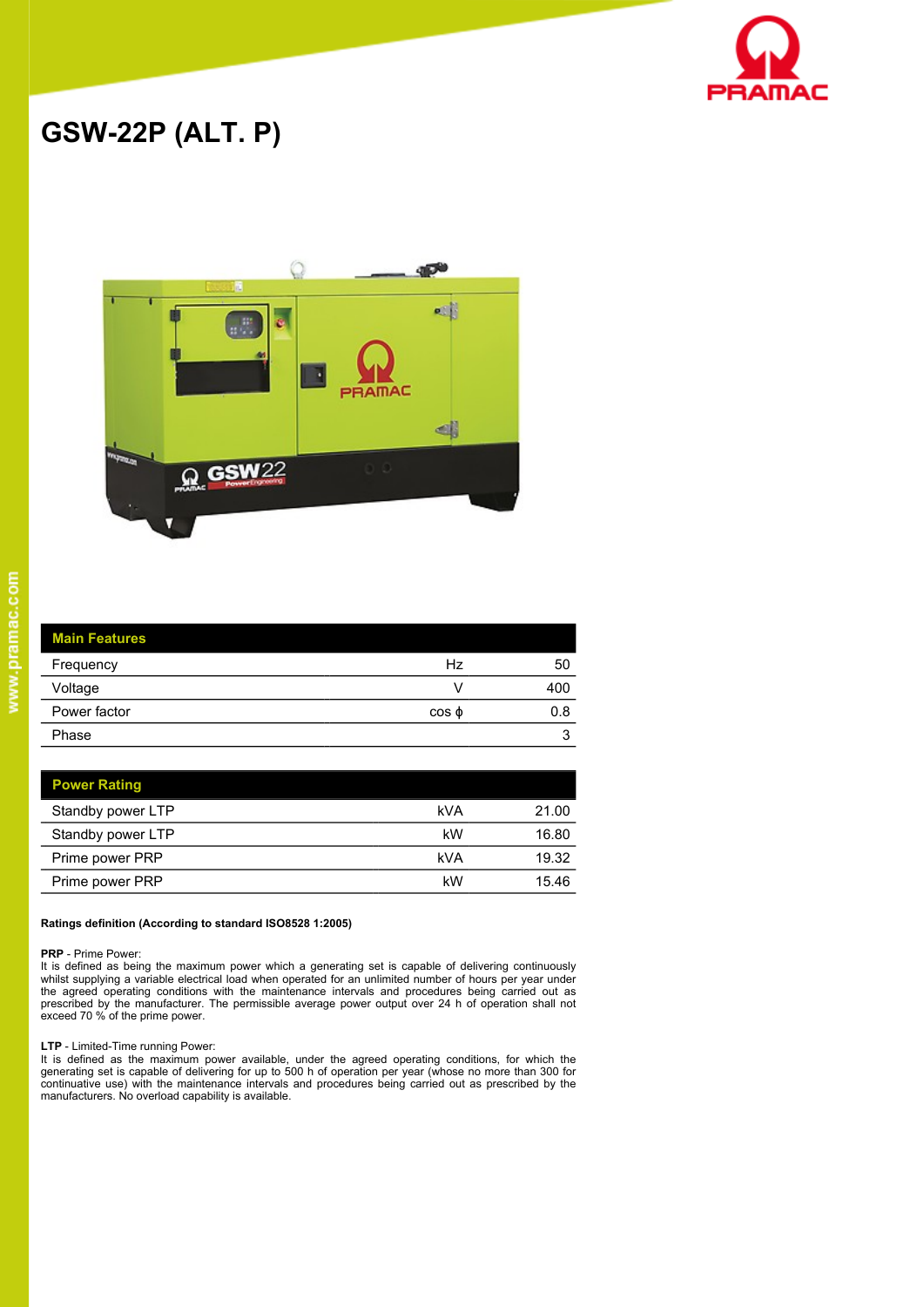

# **GSW-22P (ALT. P)**



 $\overline{\phantom{a}}$  $\frac{1}{2}$ 

| <b>Main Features</b> |             |     |
|----------------------|-------------|-----|
| Frequency            | Hz          | 50  |
| Voltage              |             | 400 |
| Power factor         | $\cos \phi$ | 0.8 |
| Phase                |             | 3   |

| <b>Power Rating</b> |     |       |
|---------------------|-----|-------|
| Standby power LTP   | kVA | 21.00 |
| Standby power LTP   | kW  | 16.80 |
| Prime power PRP     | kVA | 19.32 |
| Prime power PRP     | kW  | 15.46 |

### **Ratings definition (According to standard ISO8528 1:2005)**

### **PRP** - Prime Power:

It is defined as being the maximum power which a generating set is capable of delivering continuously whilst supplying a variable electrical load when operated for an unlimited number of hours per year under the agreed operating conditions with the maintenance intervals and procedures being carried out as<br>prescribed by the manufacturer. The permissible average power output over 24 h of operation shall not<br>exceed 70 % of the pr

### **LTP** - Limited-Time running Power:

It is defined as the maximum power available, under the agreed operating conditions, for which the generating set is capable of delivering for up to 500 h of operation per year (whose no more than 300 for continuative use) with the maintenance intervals and procedures being carried out as prescribed by the manufacturers. No overload capability is available.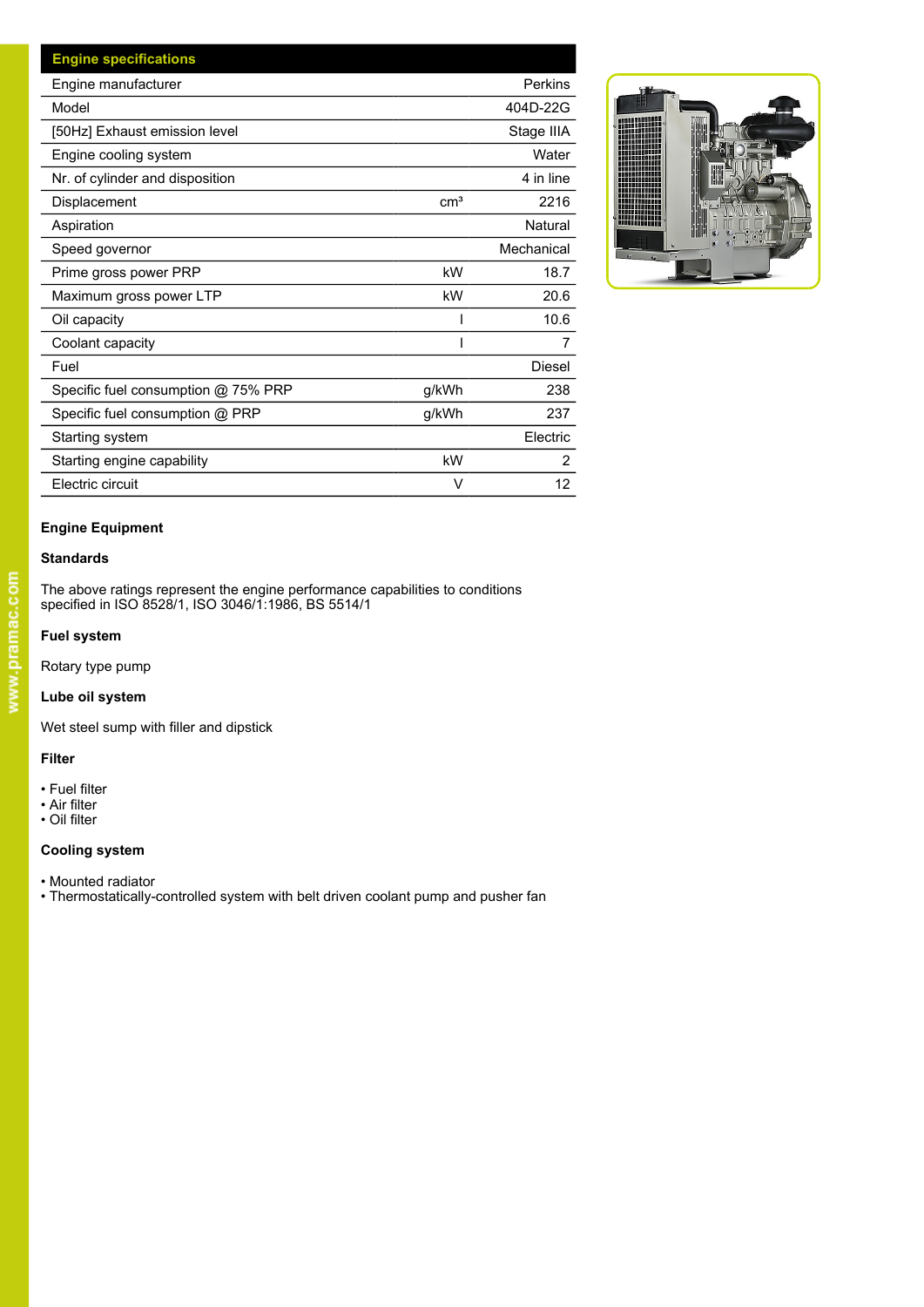| <b>Engine specifications</b>        |                 |                |
|-------------------------------------|-----------------|----------------|
| Engine manufacturer                 |                 | Perkins        |
| Model                               |                 | 404D-22G       |
| [50Hz] Exhaust emission level       |                 | Stage IIIA     |
| Engine cooling system               |                 | Water          |
| Nr. of cylinder and disposition     |                 | 4 in line      |
| Displacement                        | cm <sup>3</sup> | 2216           |
| Aspiration                          |                 | Natural        |
| Speed governor                      |                 | Mechanical     |
| Prime gross power PRP               | kW              | 18.7           |
| Maximum gross power LTP             | kW              | 20.6           |
| Oil capacity                        |                 | 10.6           |
| Coolant capacity                    |                 |                |
| Fuel                                |                 | Diesel         |
| Specific fuel consumption @ 75% PRP | g/kWh           | 238            |
| Specific fuel consumption @ PRP     | g/kWh           | 237            |
| Starting system                     |                 | Electric       |
| Starting engine capability          | kW              | $\overline{2}$ |
| Electric circuit                    | V               | 12             |



### **Engine Equipment**

### **Standards**

The above ratings represent the engine performance capabilities to conditions specified in ISO 8528/1, ISO 3046/1:1986, BS 5514/1

### **Fuel system**

Rotary type pump

### **Lube oil system**

Wet steel sump with filler and dipstick

### **Filter**

- Fuel filter
- Air filter
- Oil filter

### **Cooling system**

- Mounted radiator
- Thermostatically-controlled system with belt driven coolant pump and pusher fan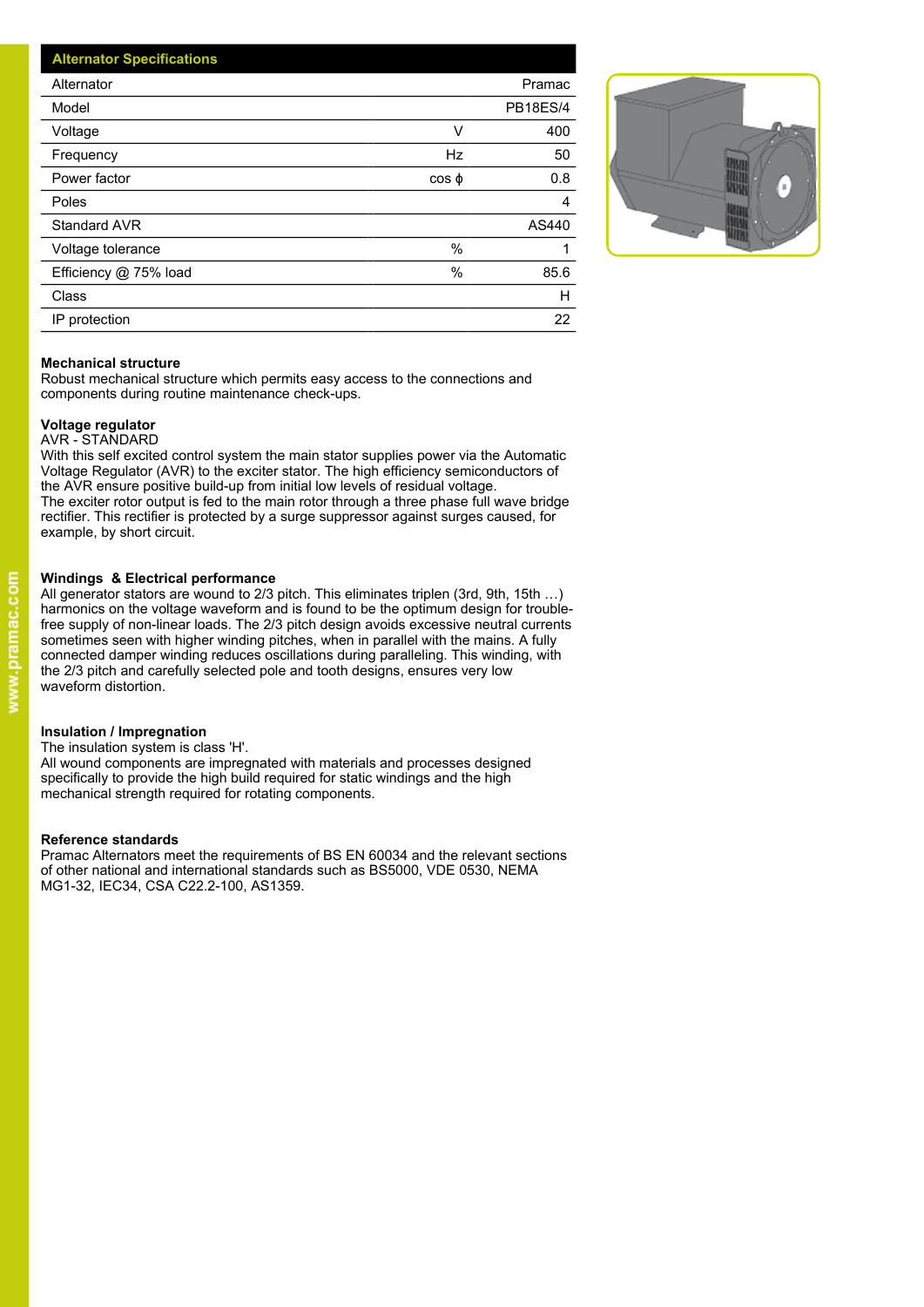| <b>Alternator Specifications</b> |                 |
|----------------------------------|-----------------|
| Alternator                       | Pramac          |
| Model                            | <b>PB18ES/4</b> |
| Voltage<br>V                     | 400             |
| Hz<br>Frequency                  | 50              |
| Power factor<br>$\cos \phi$      | 0.8             |
| Poles                            | 4               |
| Standard AVR                     | AS440           |
| $\%$<br>Voltage tolerance        |                 |
| $\%$<br>Efficiency @ 75% load    | 85.6            |
| Class                            | н               |
| IP protection                    | 22              |



### **Mechanical structure**

Robust mechanical structure which permits easy access to the connections and components during routine maintenance check-ups.

### **Voltage regulator**

### AVR - STANDARD

With this self excited control system the main stator supplies power via the Automatic Voltage Regulator (AVR) to the exciter stator. The high efficiency semiconductors of the AVR ensure positive build-up from initial low levels of residual voltage. The exciter rotor output is fed to the main rotor through a three phase full wave bridge rectifier. This rectifier is protected by a surge suppressor against surges caused, for example, by short circuit.

### **Windings & Electrical performance**

All generator stators are wound to 2/3 pitch. This eliminates triplen (3rd, 9th, 15th …) harmonics on the voltage waveform and is found to be the optimum design for troublefree supply of non-linear loads. The 2/3 pitch design avoids excessive neutral currents sometimes seen with higher winding pitches, when in parallel with the mains. A fully connected damper winding reduces oscillations during paralleling. This winding, with the 2/3 pitch and carefully selected pole and tooth designs, ensures very low waveform distortion.

### **Insulation / Impregnation**

The insulation system is class 'H'.

All wound components are impregnated with materials and processes designed specifically to provide the high build required for static windings and the high mechanical strength required for rotating components.

### **Reference standards**

Pramac Alternators meet the requirements of BS EN 60034 and the relevant sections of other national and international standards such as BS5000, VDE 0530, NEMA MG1-32, IEC34, CSA C22.2-100, AS1359.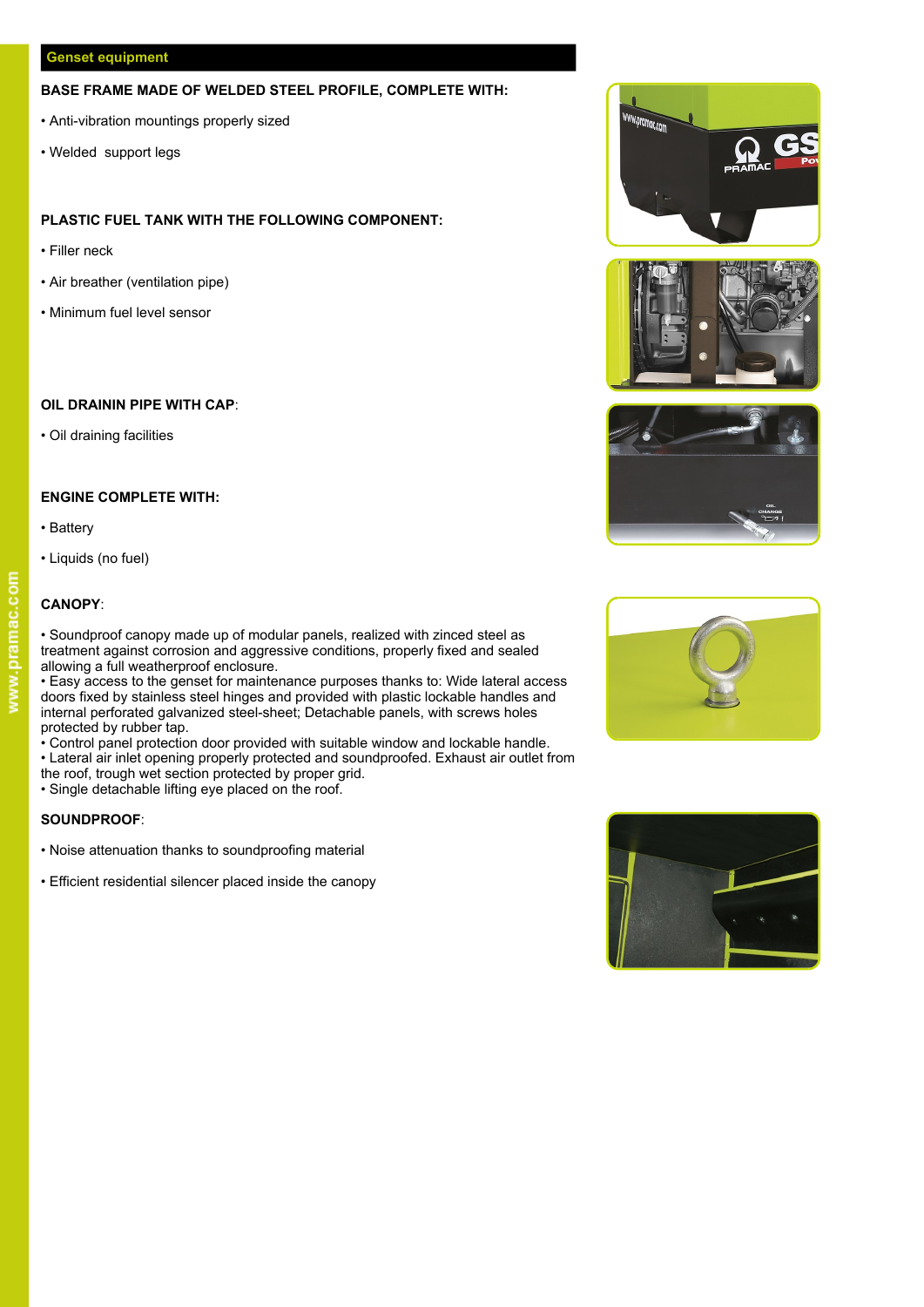### **Genset equipment**

### **BASE FRAME MADE OF WELDED STEEL PROFILE, COMPLETE WITH:**

- Anti-vibration mountings properly sized
- Welded support legs

### **PLASTIC FUEL TANK WITH THE FOLLOWING COMPONENT:**

- Filler neck
- Air breather (ventilation pipe)
- Minimum fuel level sensor

### **OIL DRAININ PIPE WITH CAP**:

• Oil draining facilities

### **ENGINE COMPLETE WITH:**

• Battery • Liquids (no fuel)

### **CANOPY**:



• Easy access to the genset for maintenance purposes thanks to: Wide lateral access doors fixed by stainless steel hinges and provided with plastic lockable handles and internal perforated galvanized steel-sheet; Detachable panels, with screws holes protected by rubber tap.

• Control panel protection door provided with suitable window and lockable handle.

• Lateral air inlet opening properly protected and soundproofed. Exhaust air outlet from

- the roof, trough wet section protected by proper grid.
- Single detachable lifting eye placed on the roof.

### **SOUNDPROOF**:

- Noise attenuation thanks to soundproofing material
- Efficient residential silencer placed inside the canopy











# www.pramac.com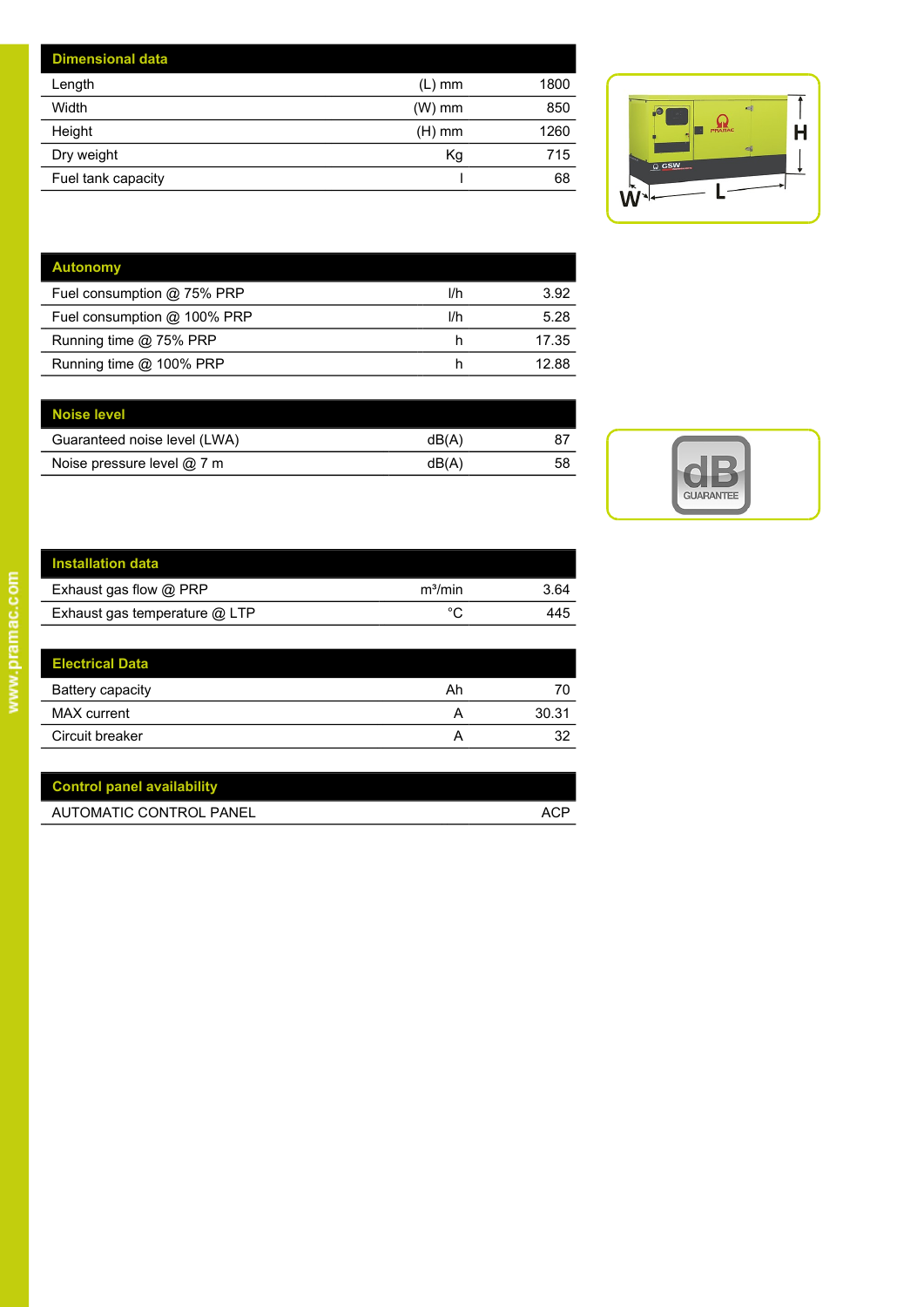| <b>Dimensional data</b> |          |      |                                    |
|-------------------------|----------|------|------------------------------------|
| Length                  | (L) mm   | 1800 |                                    |
| Width                   | $(W)$ mm | 850  | <b>ASS</b><br>$\overline{\bullet}$ |
| Height                  | $(H)$ mm | 1260 | PRAMAC                             |
| Dry weight              | Kg       | 715  | $-\frac{1}{2}$<br>$Q$ GSW          |
| Fuel tank capacity      |          | 68   |                                    |
|                         |          |      | <b>18/2</b>                        |



| <b>Autonomy</b>             |     |       |
|-----------------------------|-----|-------|
| Fuel consumption @ 75% PRP  | l/h | 3.92  |
| Fuel consumption @ 100% PRP | l/h | 5.28  |
| Running time @ 75% PRP      |     | 17.35 |
| Running time @ 100% PRP     |     | 12.88 |

| Noise level                  |      |    |  |
|------------------------------|------|----|--|
| Guaranteed noise level (LWA) | dB(A | 87 |  |
| Noise pressure level @ 7 m   | dB(A | 58 |  |
|                              |      |    |  |



| <b>Installation data</b>      |                     |      |
|-------------------------------|---------------------|------|
| Exhaust gas flow @ PRP        | m <sup>3</sup> /min | 3.64 |
| Exhaust gas temperature @ LTP |                     | 445  |
|                               |                     |      |

| <b>Electrical Data</b> |    |       |
|------------------------|----|-------|
| Battery capacity       | Ah | 70    |
| MAX current            |    | 30.31 |
| Circuit breaker        | ⌒  | 32    |

| <b>Control panel availability</b> |     |
|-----------------------------------|-----|
| AUTOMATIC CONTROL PANEL           | ACP |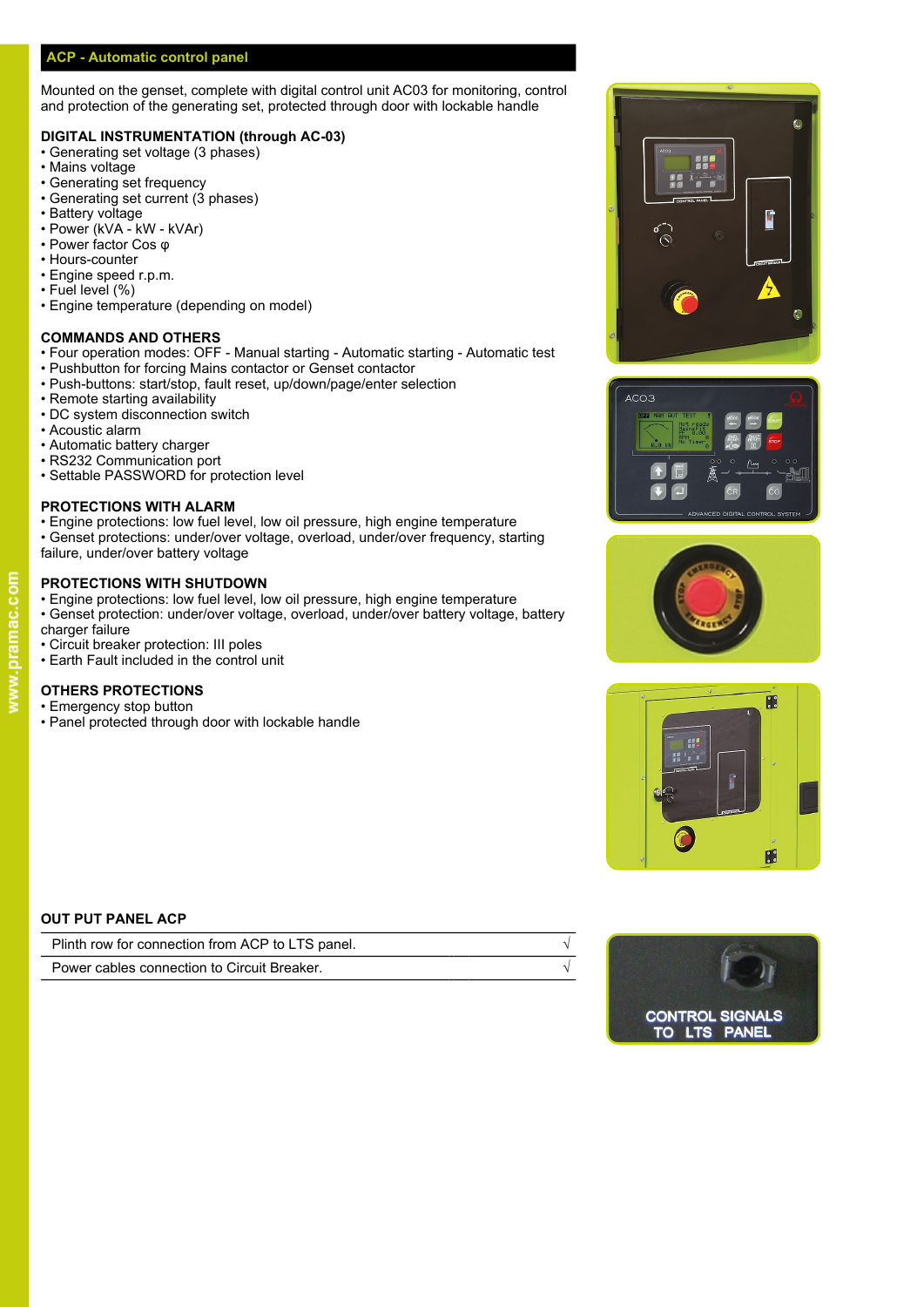### **ACP - Automatic control panel**

Mounted on the genset, complete with digital control unit AC03 for monitoring, control and protection of the generating set, protected through door with lockable handle

### **DIGITAL INSTRUMENTATION (through AC-03)**

- Generating set voltage (3 phases)
- Mains voltage
- Generating set frequency
- Generating set current (3 phases)
- Battery voltage
- Power (kVA kW kVAr) • Power factor Cos φ
- Hours-counter
- Engine speed r.p.m.
- Fuel level (%)
- Engine temperature (depending on model)

### **COMMANDS AND OTHERS**

- Four operation modes: OFF Manual starting Automatic starting Automatic test
- Pushbutton for forcing Mains contactor or Genset contactor
- Push-buttons: start/stop, fault reset, up/down/page/enter selection<br>• Remote starting availability
- Remote starting availability
- DC system disconnection switch
- Acoustic alarm
- Automatic battery charger
- RS232 Communication port
- Settable PASSWORD for protection level

### **PROTECTIONS WITH ALARM**

- Engine protections: low fuel level, low oil pressure, high engine temperature
- Genset protections: under/over voltage, overload, under/over frequency, starting failure, under/over battery voltage

### **PROTECTIONS WITH SHUTDOWN**

- Engine protections: low fuel level, low oil pressure, high engine temperature
- Genset protection: under/over voltage, overload, under/over battery voltage, battery charger failure
- Circuit breaker protection: III poles
- Earth Fault included in the control unit

### **OTHERS PROTECTIONS**

- Emergency stop button
- Panel protected through door with lockable handle









### **OUT PUT PANEL ACP**

| Plinth row for connection from ACP to LTS panel. |  |
|--------------------------------------------------|--|
| Power cables connection to Circuit Breaker.      |  |



www.pramac.com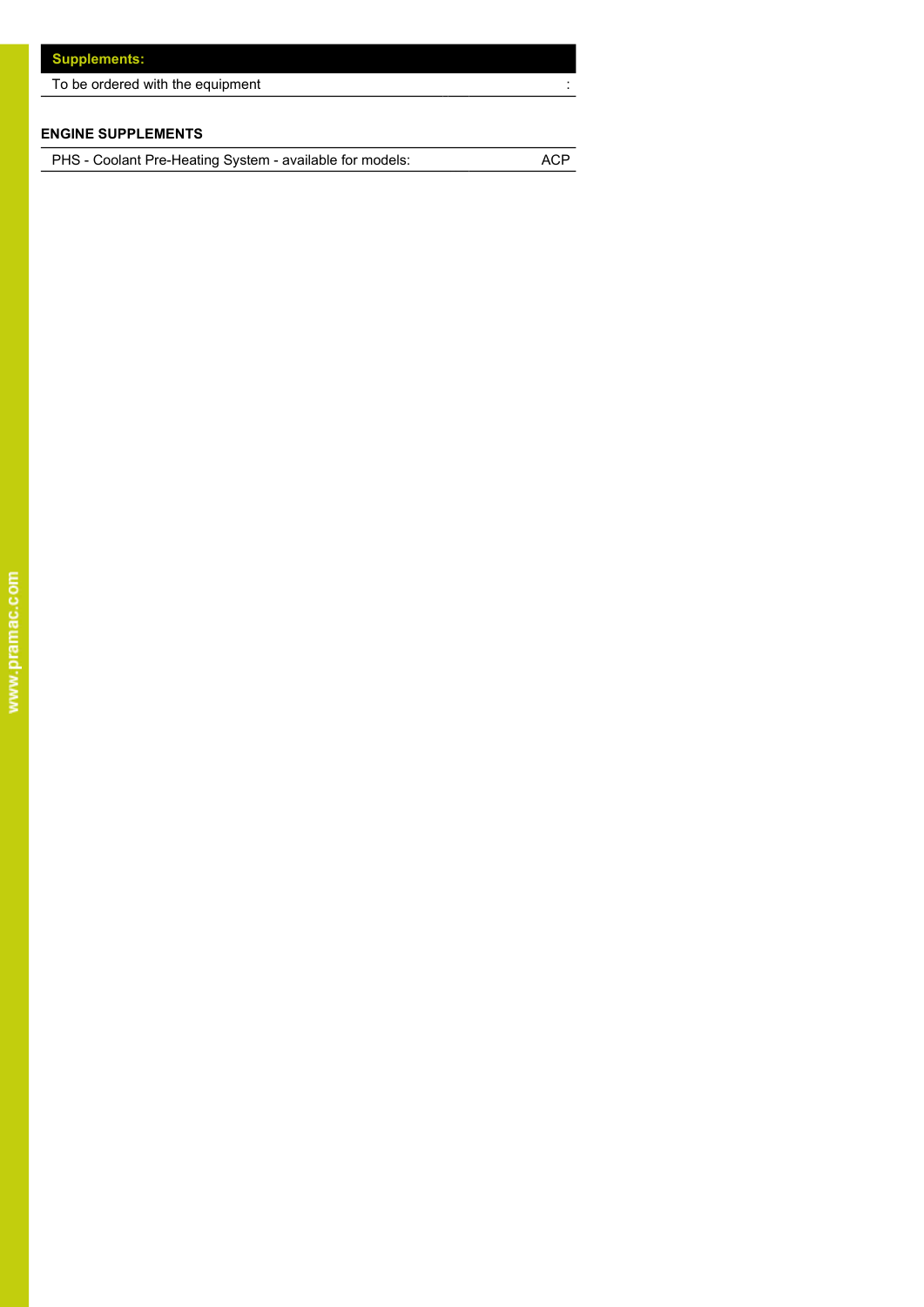| To be ordered with the equipment |
|----------------------------------|
|                                  |

## **ENGINE SUPPLEMENTS**

PHS - Coolant Pre-Heating System - available for models: ACP